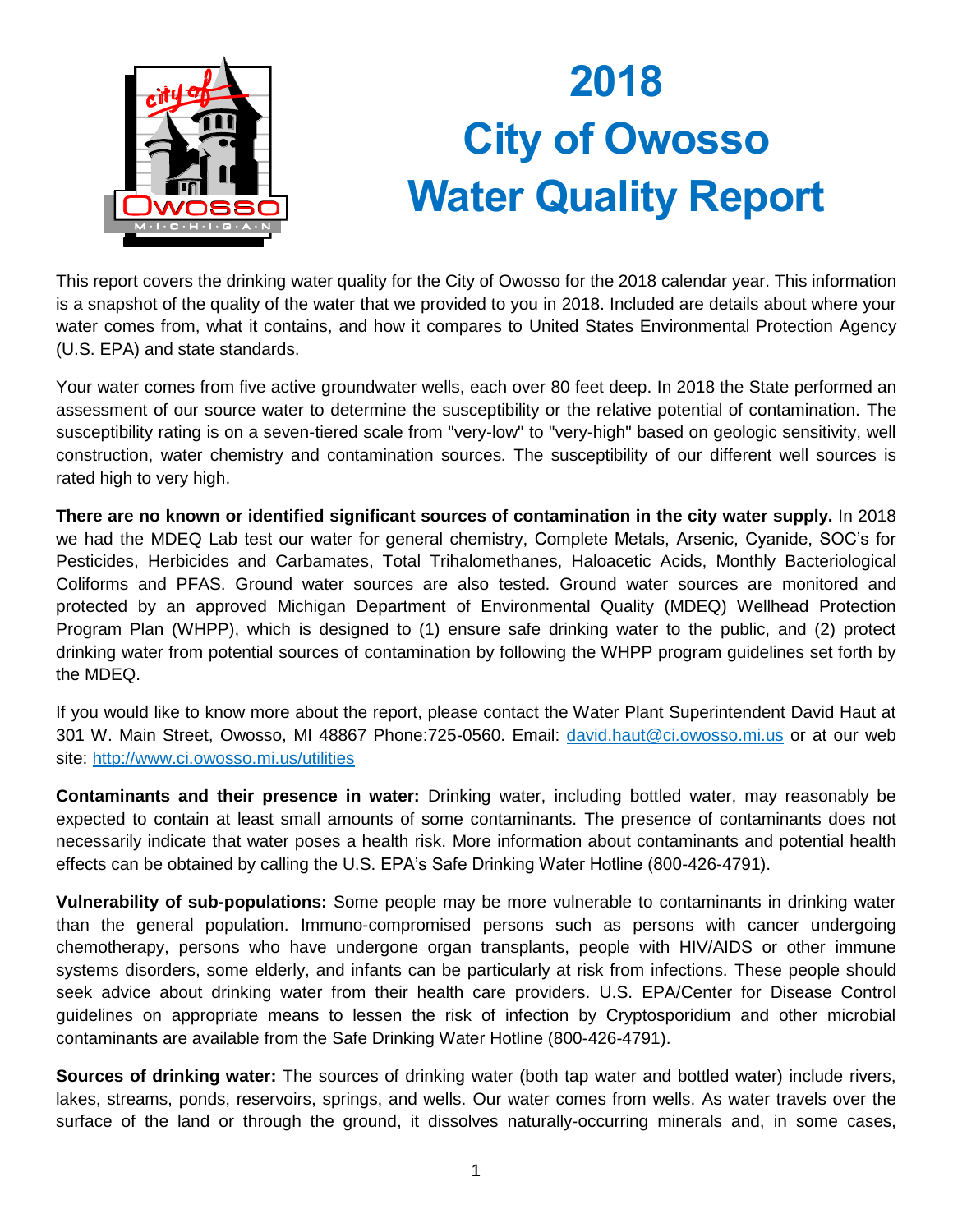

## **2018 City of Owosso Water Quality Report**

This report covers the drinking water quality for the City of Owosso for the 2018 calendar year. This information is a snapshot of the quality of the water that we provided to you in 2018. Included are details about where your water comes from, what it contains, and how it compares to United States Environmental Protection Agency (U.S. EPA) and state standards.

Your water comes from five active groundwater wells, each over 80 feet deep. In 2018 the State performed an assessment of our source water to determine the susceptibility or the relative potential of contamination. The susceptibility rating is on a seven-tiered scale from "very-low" to "very-high" based on geologic sensitivity, well construction, water chemistry and contamination sources. The susceptibility of our different well sources is rated high to very high.

**There are no known or identified significant sources of contamination in the city water supply.** In 2018 we had the MDEQ Lab test our water for general chemistry, Complete Metals, Arsenic, Cyanide, SOC's for Pesticides, Herbicides and Carbamates, Total Trihalomethanes, Haloacetic Acids, Monthly Bacteriological Coliforms and PFAS. Ground water sources are also tested. Ground water sources are monitored and protected by an approved Michigan Department of Environmental Quality (MDEQ) Wellhead Protection Program Plan (WHPP), which is designed to (1) ensure safe drinking water to the public, and (2) protect drinking water from potential sources of contamination by following the WHPP program guidelines set forth by the MDEQ.

If you would like to know more about the report, please contact the Water Plant Superintendent David Haut at 301 W. Main Street, Owosso, MI 48867 Phone:725-0560. Email: [david.haut@ci.owosso.mi.us](mailto:david.haut@ci.owosso.mi.us) or at our web site:<http://www.ci.owosso.mi.us/utilities>

**Contaminants and their presence in water:** Drinking water, including bottled water, may reasonably be expected to contain at least small amounts of some contaminants. The presence of contaminants does not necessarily indicate that water poses a health risk. More information about contaminants and potential health effects can be obtained by calling the U.S. EPA's Safe Drinking Water Hotline (800-426-4791).

**Vulnerability of sub-populations:** Some people may be more vulnerable to contaminants in drinking water than the general population. Immuno-compromised persons such as persons with cancer undergoing chemotherapy, persons who have undergone organ transplants, people with HIV/AIDS or other immune systems disorders, some elderly, and infants can be particularly at risk from infections. These people should seek advice about drinking water from their health care providers. U.S. EPA/Center for Disease Control guidelines on appropriate means to lessen the risk of infection by Cryptosporidium and other microbial contaminants are available from the Safe Drinking Water Hotline (800-426-4791).

**Sources of drinking water:** The sources of drinking water (both tap water and bottled water) include rivers, lakes, streams, ponds, reservoirs, springs, and wells. Our water comes from wells. As water travels over the surface of the land or through the ground, it dissolves naturally-occurring minerals and, in some cases,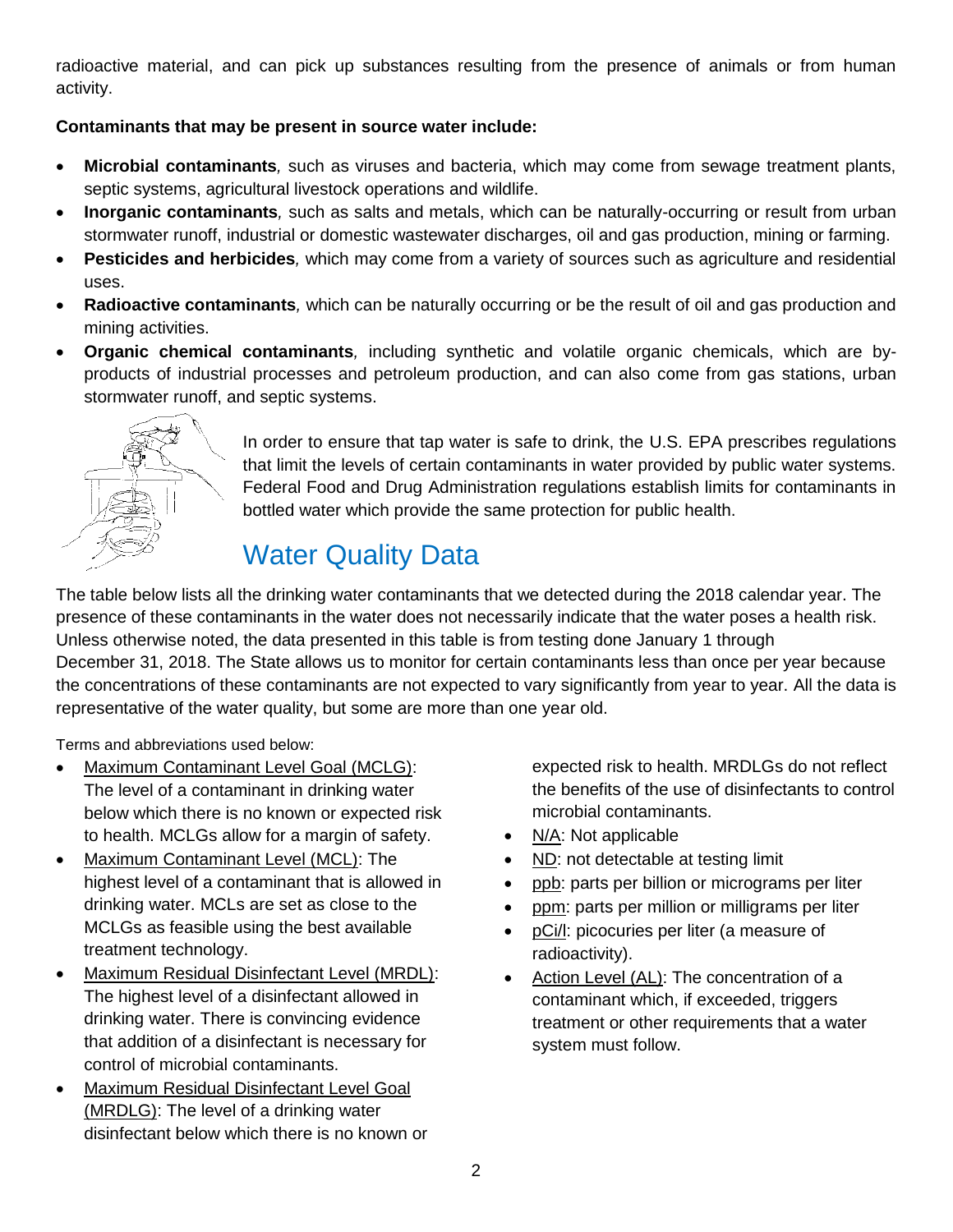radioactive material, and can pick up substances resulting from the presence of animals or from human activity.

## **Contaminants that may be present in source water include:**

- **Microbial contaminants***,* such as viruses and bacteria, which may come from sewage treatment plants, septic systems, agricultural livestock operations and wildlife.
- **Inorganic contaminants***,* such as salts and metals, which can be naturally-occurring or result from urban stormwater runoff, industrial or domestic wastewater discharges, oil and gas production, mining or farming.
- **Pesticides and herbicides***,* which may come from a variety of sources such as agriculture and residential uses.
- **Radioactive contaminants***,* which can be naturally occurring or be the result of oil and gas production and mining activities.
- **Organic chemical contaminants***,* including synthetic and volatile organic chemicals, which are byproducts of industrial processes and petroleum production, and can also come from gas stations, urban stormwater runoff, and septic systems.



In order to ensure that tap water is safe to drink, the U.S. EPA prescribes regulations that limit the levels of certain contaminants in water provided by public water systems. Federal Food and Drug Administration regulations establish limits for contaminants in bottled water which provide the same protection for public health.

## Water Quality Data

The table below lists all the drinking water contaminants that we detected during the 2018 calendar year. The presence of these contaminants in the water does not necessarily indicate that the water poses a health risk. Unless otherwise noted, the data presented in this table is from testing done January 1 through December 31, 2018. The State allows us to monitor for certain contaminants less than once per year because the concentrations of these contaminants are not expected to vary significantly from year to year. All the data is representative of the water quality, but some are more than one year old.

Terms and abbreviations used below:

- Maximum Contaminant Level Goal (MCLG): The level of a contaminant in drinking water below which there is no known or expected risk to health. MCLGs allow for a margin of safety.
- Maximum Contaminant Level (MCL): The highest level of a contaminant that is allowed in drinking water. MCLs are set as close to the MCLGs as feasible using the best available treatment technology.
- Maximum Residual Disinfectant Level (MRDL): The highest level of a disinfectant allowed in drinking water. There is convincing evidence that addition of a disinfectant is necessary for control of microbial contaminants.
- Maximum Residual Disinfectant Level Goal (MRDLG): The level of a drinking water disinfectant below which there is no known or

expected risk to health. MRDLGs do not reflect the benefits of the use of disinfectants to control microbial contaminants.

- N/A: Not applicable
- ND: not detectable at testing limit
- ppb: parts per billion or micrograms per liter
- ppm: parts per million or milligrams per liter
- pCi/l: picocuries per liter (a measure of radioactivity).
- Action Level (AL): The concentration of a contaminant which, if exceeded, triggers treatment or other requirements that a water system must follow.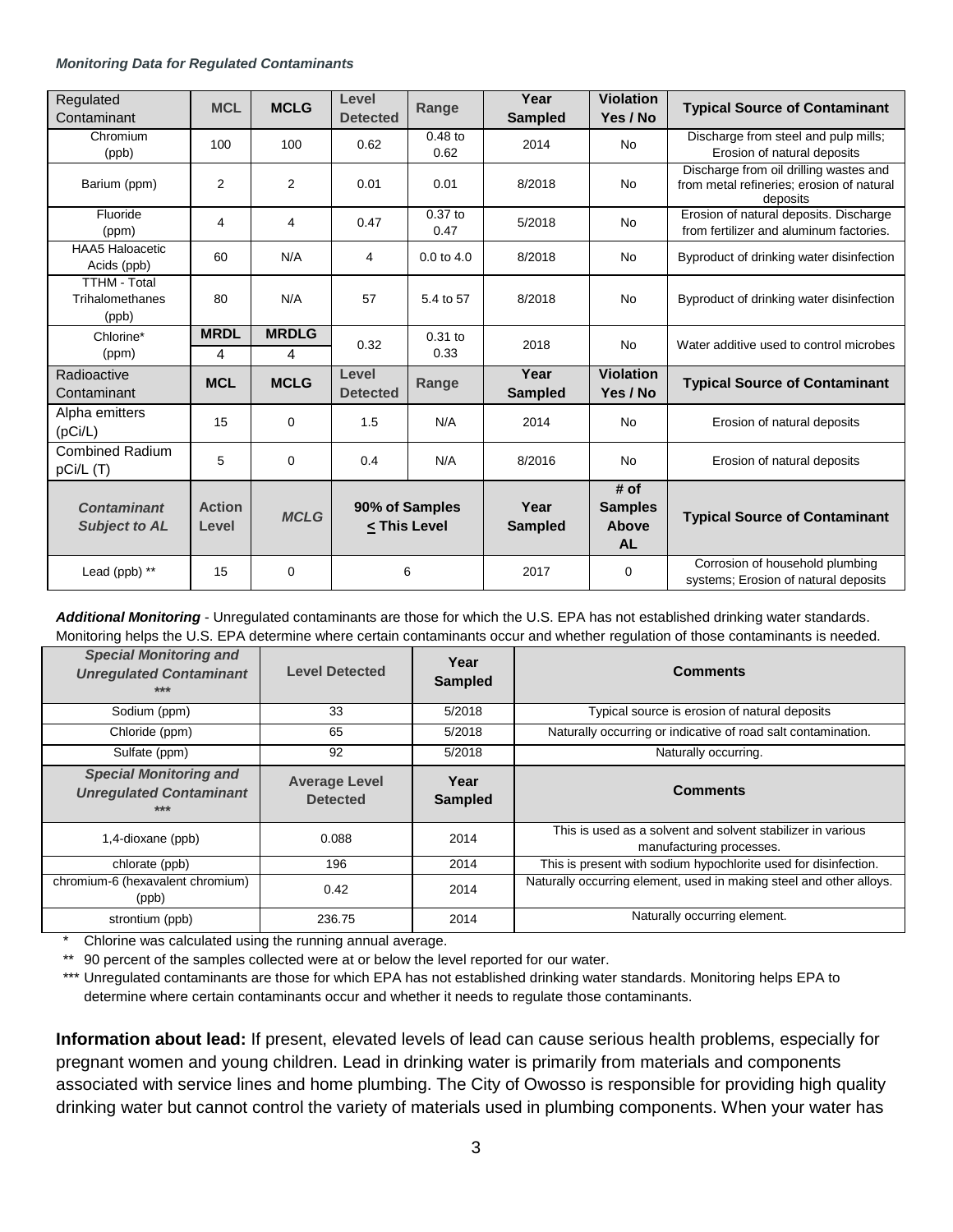## *Monitoring Data for Regulated Contaminants*

| Regulated<br>Contaminant                        | <b>MCL</b>             | <b>MCLG</b>    | Level<br><b>Detected</b> | Range                          | Year<br><b>Sampled</b> | <b>Violation</b><br>Yes / No                 | <b>Typical Source of Contaminant</b>                                                            |
|-------------------------------------------------|------------------------|----------------|--------------------------|--------------------------------|------------------------|----------------------------------------------|-------------------------------------------------------------------------------------------------|
| Chromium<br>(ppb)                               | 100                    | 100            | 0.62                     | $0.48$ to<br>0.62              | 2014                   | <b>No</b>                                    | Discharge from steel and pulp mills;<br>Erosion of natural deposits                             |
| Barium (ppm)                                    | 2                      | $\overline{2}$ | 0.01                     | 0.01                           | 8/2018                 | <b>No</b>                                    | Discharge from oil drilling wastes and<br>from metal refineries; erosion of natural<br>deposits |
| Fluoride<br>(ppm)                               | 4                      | 4              | 0.47                     | $0.37$ to<br>0.47              | 5/2018                 | <b>No</b>                                    | Erosion of natural deposits. Discharge<br>from fertilizer and aluminum factories.               |
| <b>HAA5 Haloacetic</b><br>Acids (ppb)           | 60                     | N/A            | 4                        | $0.0$ to $4.0$                 | 8/2018                 | No                                           | Byproduct of drinking water disinfection                                                        |
| <b>TTHM - Total</b><br>Trihalomethanes<br>(ppb) | 80                     | N/A            | 57                       | 5.4 to 57                      | 8/2018                 | <b>No</b>                                    | Byproduct of drinking water disinfection                                                        |
| Chlorine*                                       | <b>MRDL</b>            | <b>MRDLG</b>   | 0.32                     | $0.31$ to                      | 2018                   | <b>No</b>                                    | Water additive used to control microbes                                                         |
| (ppm)                                           | 4                      | 4              |                          | 0.33                           |                        |                                              |                                                                                                 |
| Radioactive<br>Contaminant                      | <b>MCL</b>             | <b>MCLG</b>    | Level<br><b>Detected</b> | Range                          | Year<br><b>Sampled</b> | <b>Violation</b><br>Yes / No                 | <b>Typical Source of Contaminant</b>                                                            |
| Alpha emitters<br>(pCi/L)                       | 15                     | 0              | 1.5                      | N/A                            | 2014                   | No                                           | Erosion of natural deposits                                                                     |
| <b>Combined Radium</b><br>pCi/L (T)             | 5                      | 0              | 0.4                      | N/A                            | 8/2016                 | <b>No</b>                                    | Erosion of natural deposits                                                                     |
| <b>Contaminant</b><br><b>Subject to AL</b>      | <b>Action</b><br>Level | <b>MCLG</b>    |                          | 90% of Samples<br>< This Level | Year<br><b>Sampled</b> | # of<br><b>Samples</b><br>Above<br><b>AL</b> | <b>Typical Source of Contaminant</b>                                                            |
| Lead ( $ppb$ ) **                               | 15                     | 0              |                          | 6                              | 2017                   | 0                                            | Corrosion of household plumbing<br>systems; Erosion of natural deposits                         |

*Additional Monitoring* - Unregulated contaminants are those for which the U.S. EPA has not established drinking water standards. Monitoring helps the U.S. EPA determine where certain contaminants occur and whether regulation of those contaminants is needed.

| <b>Special Monitoring and</b><br><b>Unregulated Contaminant</b><br>$***$ | <b>Level Detected</b>                   | Year<br><b>Sampled</b> | <b>Comments</b>                                                                         |
|--------------------------------------------------------------------------|-----------------------------------------|------------------------|-----------------------------------------------------------------------------------------|
| Sodium (ppm)                                                             | 33                                      | 5/2018                 | Typical source is erosion of natural deposits                                           |
| Chloride (ppm)                                                           | 65                                      | 5/2018                 | Naturally occurring or indicative of road salt contamination.                           |
| Sulfate (ppm)                                                            | 92                                      | 5/2018                 | Naturally occurring.                                                                    |
| <b>Special Monitoring and</b><br><b>Unregulated Contaminant</b><br>***   | <b>Average Level</b><br><b>Detected</b> | Year<br><b>Sampled</b> | <b>Comments</b>                                                                         |
| 1,4-dioxane (ppb)                                                        | 0.088                                   | 2014                   | This is used as a solvent and solvent stabilizer in various<br>manufacturing processes. |
| chlorate (ppb)                                                           | 196                                     | 2014                   | This is present with sodium hypochlorite used for disinfection.                         |
| chromium-6 (hexavalent chromium)<br>(ppb)                                | 0.42                                    | 2014                   | Naturally occurring element, used in making steel and other alloys.                     |
| strontium (ppb)                                                          | 236.75                                  | 2014                   | Naturally occurring element.                                                            |

\* Chlorine was calculated using the running annual average.

\*\* 90 percent of the samples collected were at or below the level reported for our water.

\*\*\* Unregulated contaminants are those for which EPA has not established drinking water standards. Monitoring helps EPA to determine where certain contaminants occur and whether it needs to regulate those contaminants.

**Information about lead:** If present, elevated levels of lead can cause serious health problems, especially for pregnant women and young children. Lead in drinking water is primarily from materials and components associated with service lines and home plumbing. The City of Owosso is responsible for providing high quality drinking water but cannot control the variety of materials used in plumbing components. When your water has